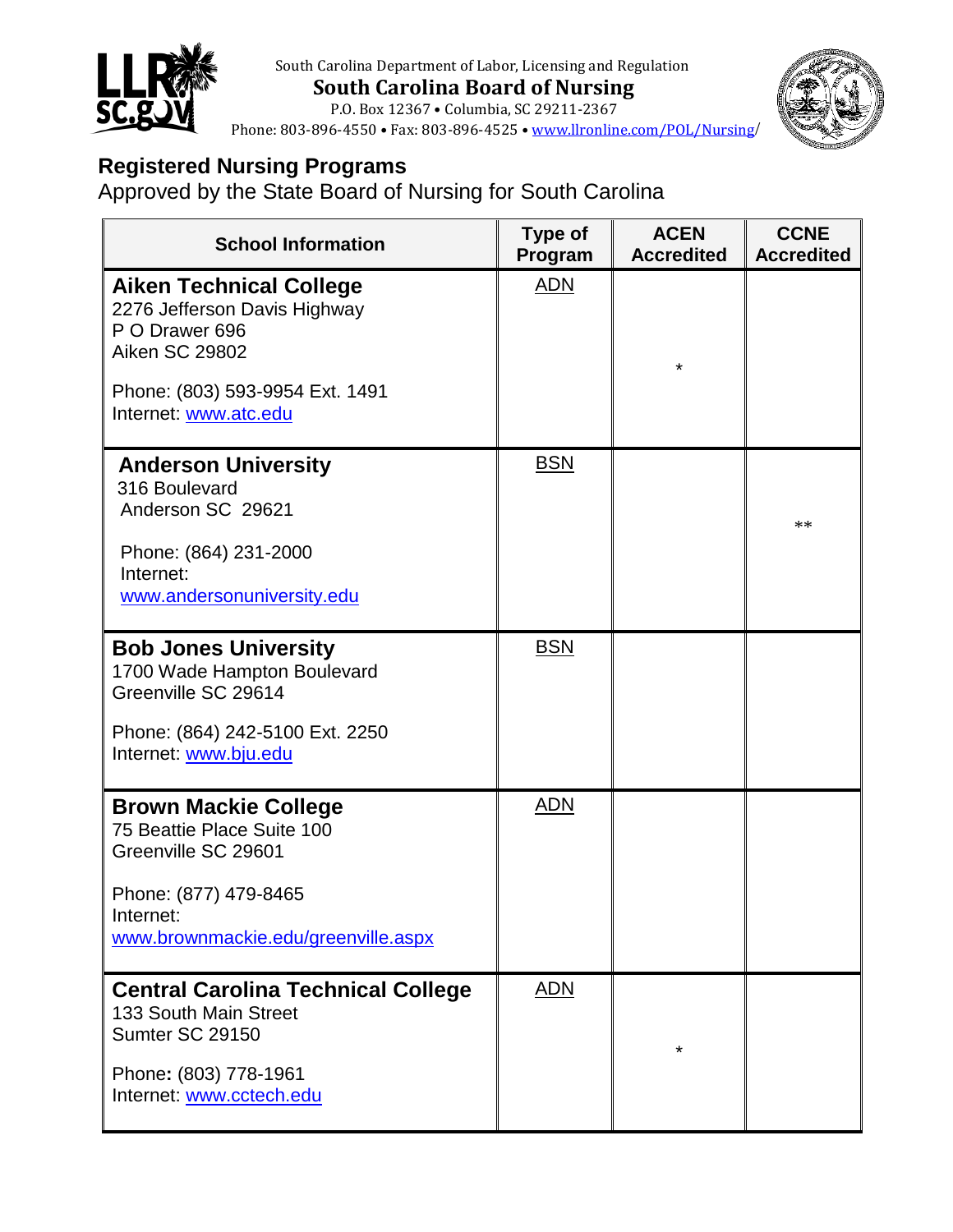

 South Carolina Department of Labor, Licensing and Regulation  **South Carolina Board of Nursing** P.O. Box 12367 • Columbia, SC 29211-2367



Phone: 803-896-4550 • Fax: 803-896-4525 • [www.llronline.com/POL/Nursing](http://www.llronline.com/POL/Nursing)/

## **Registered Nursing Programs**

Approved by the State Board of Nursing for South Carolina

| <b>School Information</b>                                                                                 | Type of<br>Program | <b>ACEN</b><br><b>Accredited</b> | <b>CCNE</b><br><b>Accredited</b> |
|-----------------------------------------------------------------------------------------------------------|--------------------|----------------------------------|----------------------------------|
| <b>Aiken Technical College</b><br>2276 Jefferson Davis Highway<br>P O Drawer 696<br><b>Aiken SC 29802</b> | <b>ADN</b>         | *                                |                                  |
| Phone: (803) 593-9954 Ext. 1491<br>Internet: www.atc.edu                                                  |                    |                                  |                                  |
| <b>Anderson University</b><br>316 Boulevard<br>Anderson SC 29621                                          | <b>BSN</b>         |                                  | **                               |
| Phone: (864) 231-2000<br>Internet:<br>www.andersonuniversity.edu                                          |                    |                                  |                                  |
| <b>Bob Jones University</b><br>1700 Wade Hampton Boulevard<br>Greenville SC 29614                         | <b>BSN</b>         |                                  |                                  |
| Phone: (864) 242-5100 Ext. 2250<br>Internet: www.bju.edu                                                  |                    |                                  |                                  |
| <b>Brown Mackie College</b><br>75 Beattie Place Suite 100<br>Greenville SC 29601                          | <b>ADN</b>         |                                  |                                  |
| Phone: (877) 479-8465<br>Internet:<br>www.brownmackie.edu/greenville.aspx                                 |                    |                                  |                                  |
| <b>Central Carolina Technical College</b><br>133 South Main Street<br>Sumter SC 29150                     | <b>ADN</b>         |                                  |                                  |
| Phone: (803) 778-1961<br>Internet: www.cctech.edu                                                         |                    |                                  |                                  |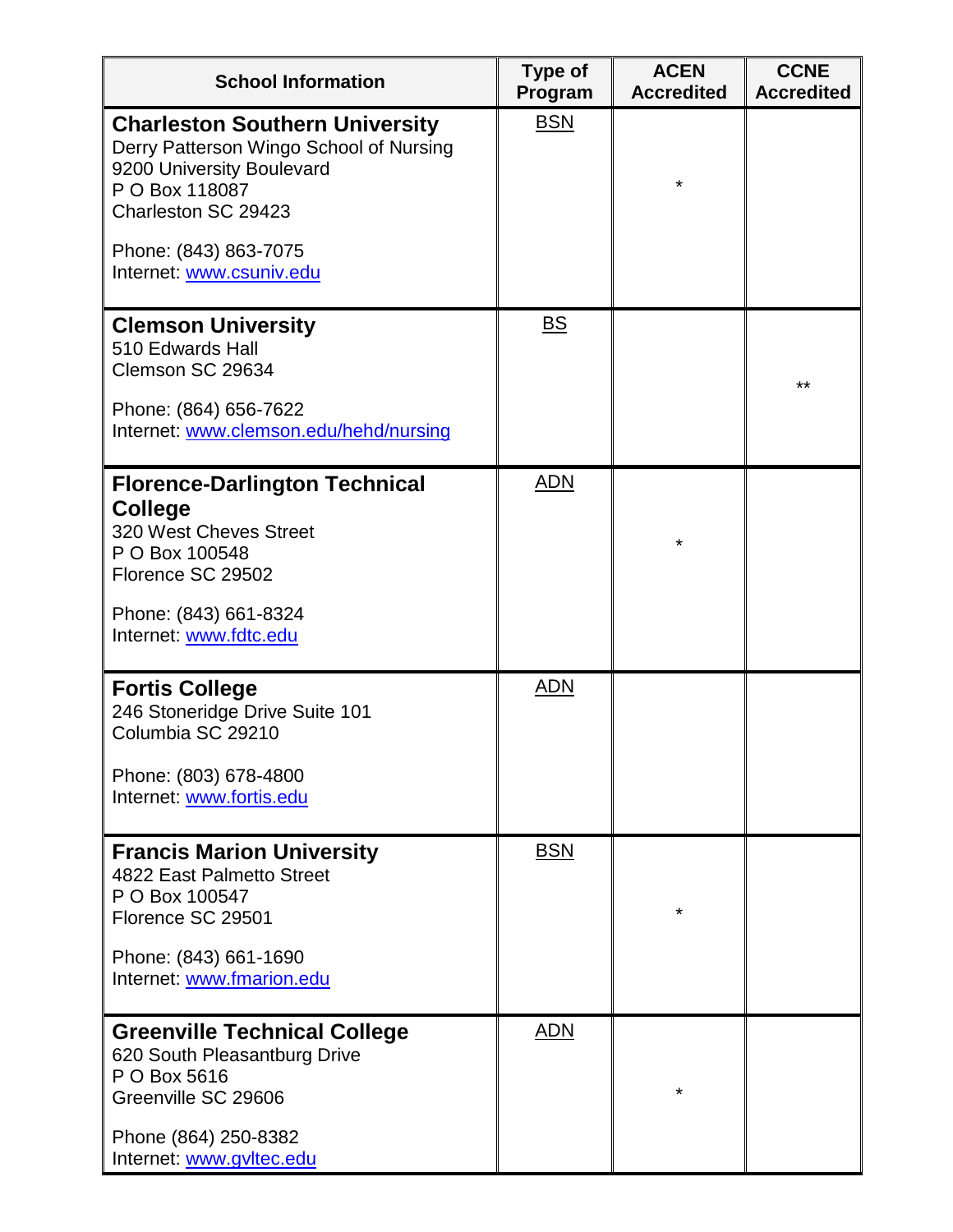| <b>School Information</b>                                                                                                                                                                                   | Type of<br>Program        | <b>ACEN</b><br><b>Accredited</b> | <b>CCNE</b><br><b>Accredited</b> |
|-------------------------------------------------------------------------------------------------------------------------------------------------------------------------------------------------------------|---------------------------|----------------------------------|----------------------------------|
| <b>Charleston Southern University</b><br>Derry Patterson Wingo School of Nursing<br>9200 University Boulevard<br>P O Box 118087<br>Charleston SC 29423<br>Phone: (843) 863-7075<br>Internet: www.csuniv.edu | <b>BSN</b>                | $\star$                          |                                  |
| <b>Clemson University</b><br>510 Edwards Hall<br>Clemson SC 29634<br>Phone: (864) 656-7622<br>Internet: www.clemson.edu/hehd/nursing                                                                        | $\underline{\mathsf{BS}}$ |                                  | $***$                            |
| <b>Florence-Darlington Technical</b><br><b>College</b><br>320 West Cheves Street<br>P O Box 100548<br>Florence SC 29502<br>Phone: (843) 661-8324<br>Internet: www.fdtc.edu                                  | <b>ADN</b>                | $\star$                          |                                  |
| <b>Fortis College</b><br>246 Stoneridge Drive Suite 101<br>Columbia SC 29210<br>Phone: (803) 678-4800<br>Internet: www.fortis.edu                                                                           | <b>ADN</b>                |                                  |                                  |
| <b>Francis Marion University</b><br>4822 East Palmetto Street<br>P O Box 100547<br>Florence SC 29501<br>Phone: (843) 661-1690<br>Internet: www.fmarion.edu                                                  | <b>BSN</b>                | $\star$                          |                                  |
| <b>Greenville Technical College</b><br>620 South Pleasantburg Drive<br>P O Box 5616<br>Greenville SC 29606<br>Phone (864) 250-8382<br>Internet: www.gvltec.edu                                              | <u>ADN</u>                | $\star$                          |                                  |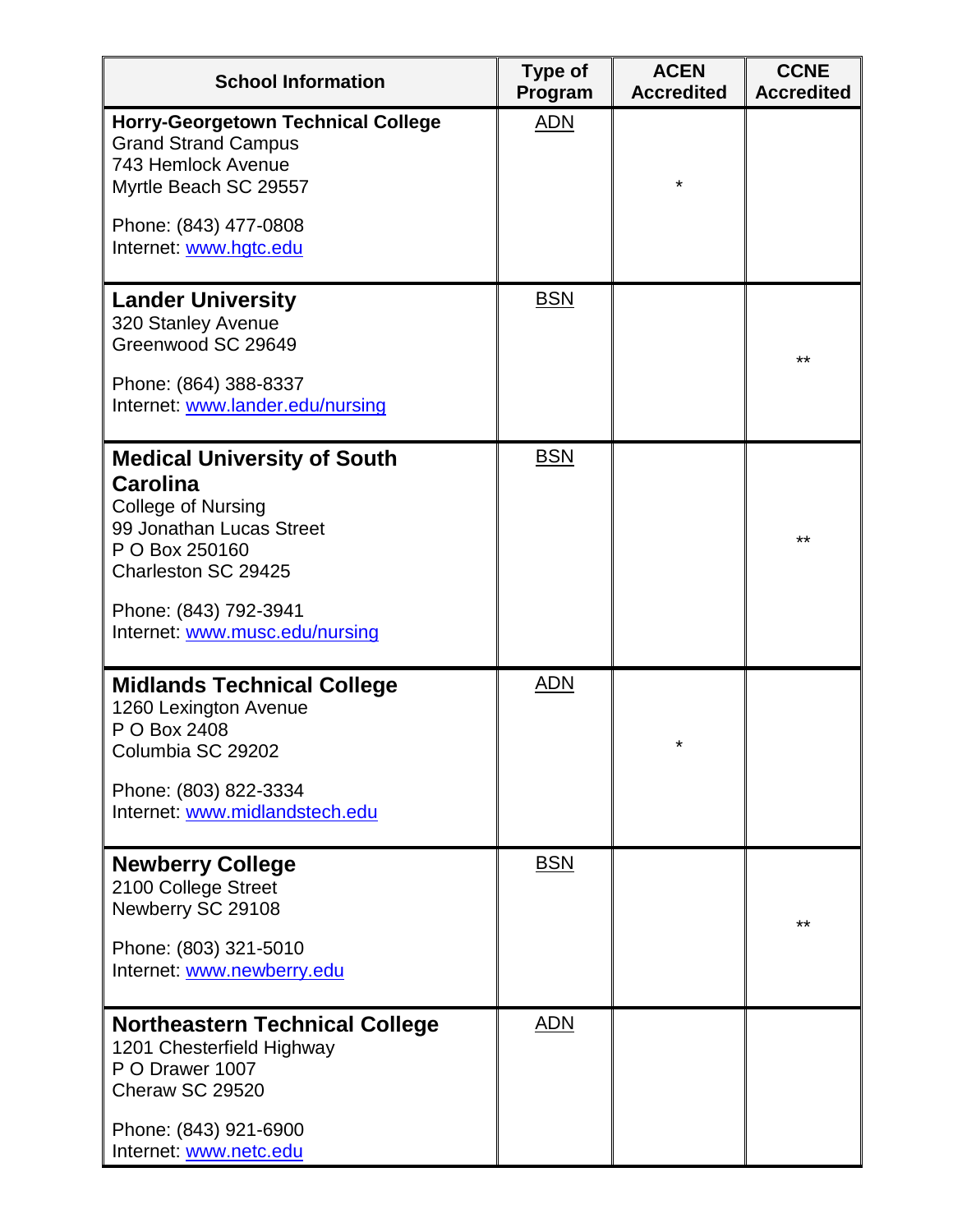| <b>School Information</b>                                                                                                                        | Type of<br>Program | <b>ACEN</b><br><b>Accredited</b> | <b>CCNE</b><br><b>Accredited</b> |
|--------------------------------------------------------------------------------------------------------------------------------------------------|--------------------|----------------------------------|----------------------------------|
| <b>Horry-Georgetown Technical College</b><br><b>Grand Strand Campus</b><br>743 Hemlock Avenue<br>Myrtle Beach SC 29557                           | <b>ADN</b>         | $\star$                          |                                  |
| Phone: (843) 477-0808<br>Internet: www.hgtc.edu                                                                                                  |                    |                                  |                                  |
| <b>Lander University</b><br>320 Stanley Avenue<br>Greenwood SC 29649                                                                             | <b>BSN</b>         |                                  | **                               |
| Phone: (864) 388-8337<br>Internet: www.lander.edu/nursing                                                                                        |                    |                                  |                                  |
| <b>Medical University of South</b><br>Carolina<br><b>College of Nursing</b><br>99 Jonathan Lucas Street<br>P O Box 250160<br>Charleston SC 29425 | <b>BSN</b>         |                                  | **                               |
| Phone: (843) 792-3941<br>Internet: www.musc.edu/nursing                                                                                          |                    |                                  |                                  |
| <b>Midlands Technical College</b><br>1260 Lexington Avenue<br>P O Box 2408<br>Columbia SC 29202                                                  | <b>ADN</b>         | $^\star$                         |                                  |
| Phone: (803) 822-3334<br>Internet: www.midlandstech.edu                                                                                          |                    |                                  |                                  |
| <b>Newberry College</b><br>2100 College Street<br>Newberry SC 29108<br>Phone: (803) 321-5010<br>Internet: www.newberry.edu                       | <b>BSN</b>         |                                  | **                               |
| <b>Northeastern Technical College</b><br>1201 Chesterfield Highway<br>P O Drawer 1007<br>Cheraw SC 29520<br>Phone: (843) 921-6900                | <b>ADN</b>         |                                  |                                  |
| Internet: www.netc.edu                                                                                                                           |                    |                                  |                                  |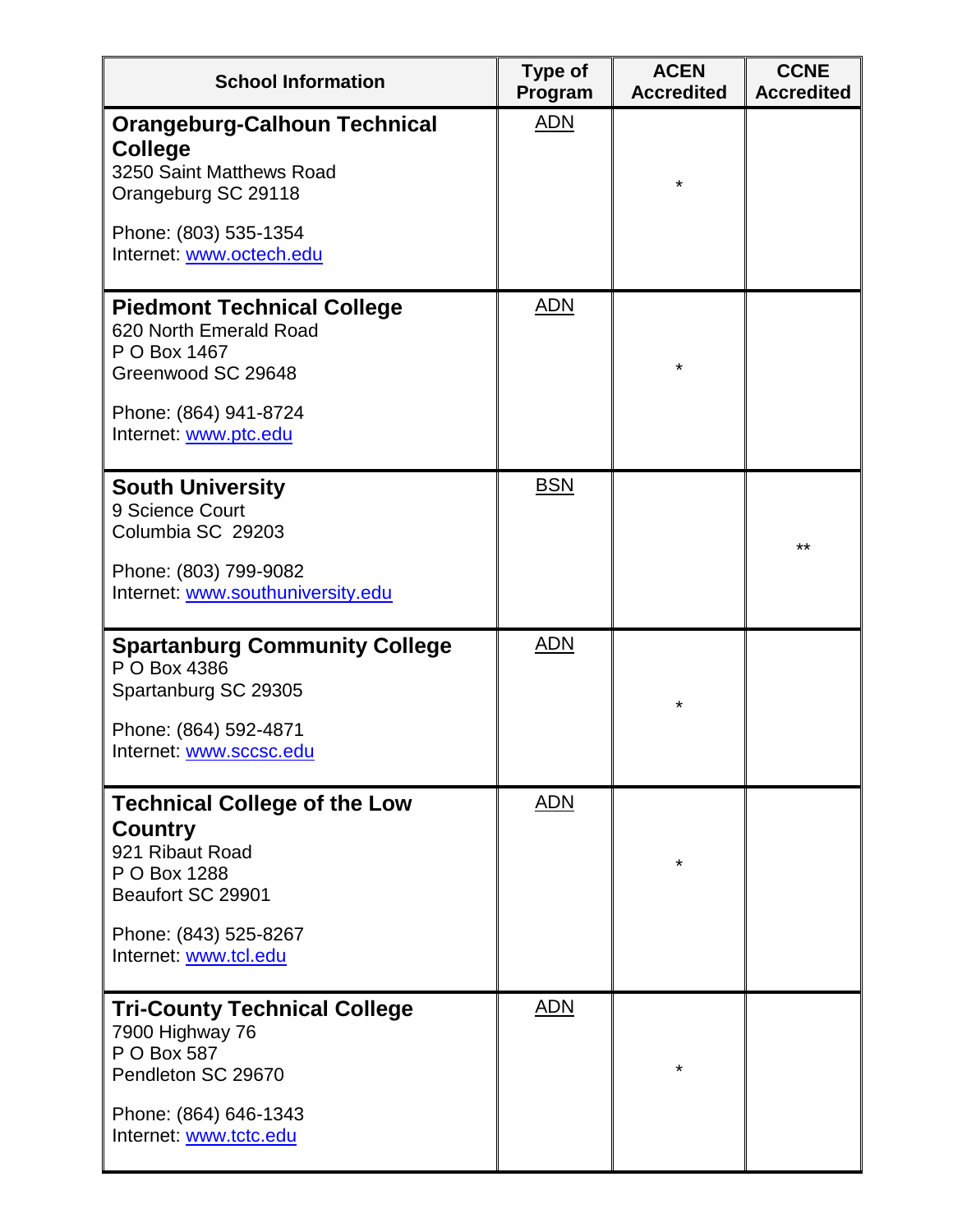| <b>School Information</b>                                                                                                                                       | <b>Type of</b><br>Program | <b>ACEN</b><br><b>Accredited</b> | <b>CCNE</b><br><b>Accredited</b> |
|-----------------------------------------------------------------------------------------------------------------------------------------------------------------|---------------------------|----------------------------------|----------------------------------|
| <b>Orangeburg-Calhoun Technical</b><br><b>College</b><br>3250 Saint Matthews Road<br>Orangeburg SC 29118                                                        | <u>ADN</u>                | $\star$                          |                                  |
| Phone: (803) 535-1354<br>Internet: www.octech.edu                                                                                                               |                           |                                  |                                  |
| <b>Piedmont Technical College</b><br>620 North Emerald Road<br>P O Box 1467<br>Greenwood SC 29648<br>Phone: (864) 941-8724<br>Internet: www.ptc.edu             | <b>ADN</b>                | $\star$                          |                                  |
| <b>South University</b><br>9 Science Court<br>Columbia SC 29203<br>Phone: (803) 799-9082<br>Internet: www.southuniversity.edu                                   | <b>BSN</b>                |                                  | $***$                            |
| <b>Spartanburg Community College</b><br>P O Box 4386<br>Spartanburg SC 29305<br>Phone: (864) 592-4871<br>Internet: www.sccsc.edu                                | <b>ADN</b>                | $\star$                          |                                  |
| <b>Technical College of the Low</b><br><b>Country</b><br>921 Ribaut Road<br>P O Box 1288<br>Beaufort SC 29901<br>Phone: (843) 525-8267<br>Internet: www.tcl.edu | <b>ADN</b>                | $\star$                          |                                  |
| <b>Tri-County Technical College</b><br>7900 Highway 76<br>P O Box 587<br>Pendleton SC 29670<br>Phone: (864) 646-1343<br>Internet: www.tctc.edu                  | <b>ADN</b>                | *                                |                                  |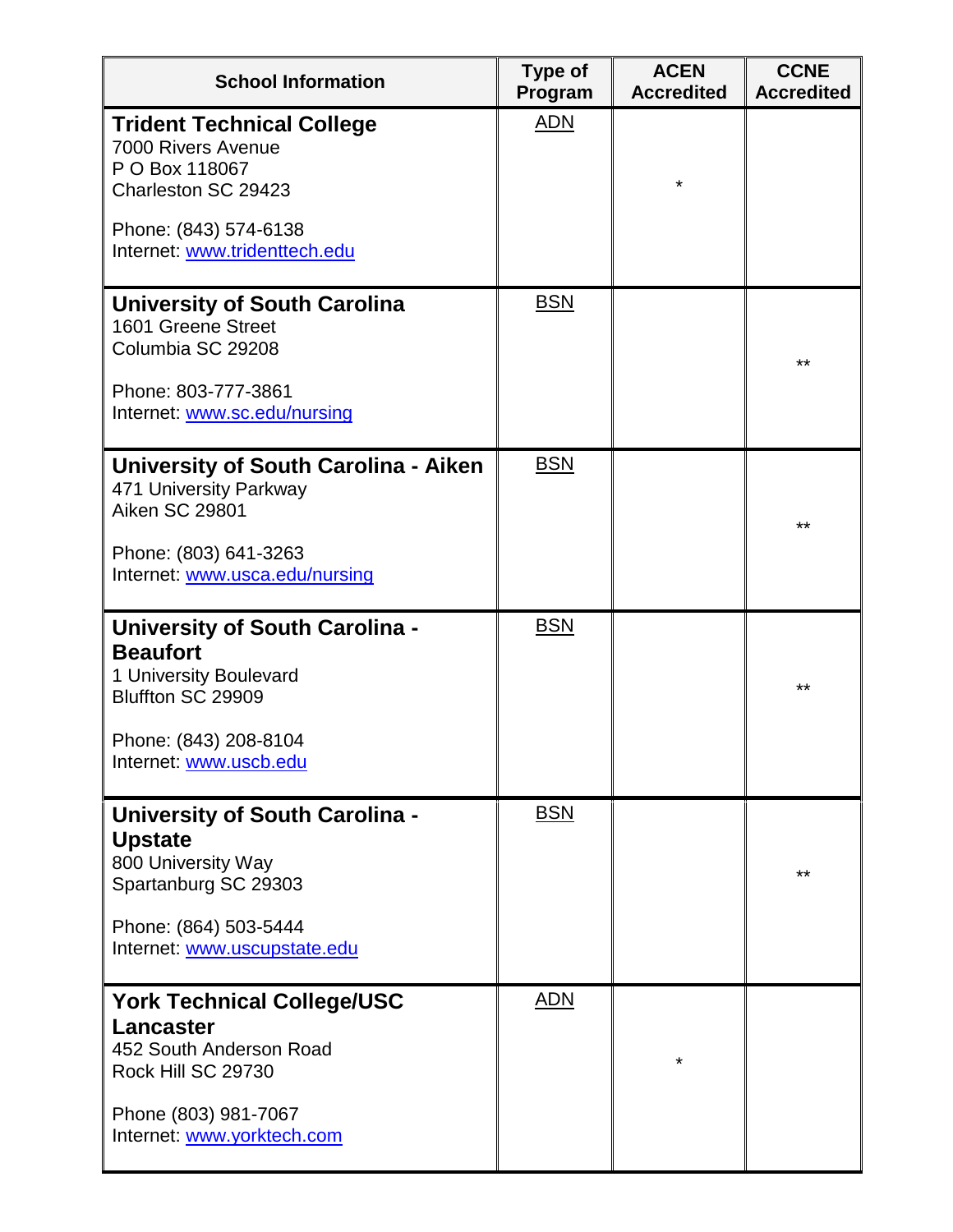| <b>School Information</b>                                                                               | Type of<br>Program | <b>ACEN</b><br><b>Accredited</b> | <b>CCNE</b><br><b>Accredited</b> |
|---------------------------------------------------------------------------------------------------------|--------------------|----------------------------------|----------------------------------|
| <b>Trident Technical College</b><br>7000 Rivers Avenue<br>P O Box 118067<br>Charleston SC 29423         | <b>ADN</b>         | $\star$                          |                                  |
| Phone: (843) 574-6138<br>Internet: www.tridenttech.edu                                                  |                    |                                  |                                  |
| <b>University of South Carolina</b><br>1601 Greene Street<br>Columbia SC 29208<br>Phone: 803-777-3861   | <b>BSN</b>         |                                  | **                               |
| Internet: www.sc.edu/nursing                                                                            |                    |                                  |                                  |
| University of South Carolina - Aiken<br>471 University Parkway<br><b>Aiken SC 29801</b>                 | <b>BSN</b>         |                                  | $***$                            |
| Phone: (803) 641-3263<br>Internet: www.usca.edu/nursing                                                 |                    |                                  |                                  |
| <b>University of South Carolina -</b><br><b>Beaufort</b><br>1 University Boulevard<br>Bluffton SC 29909 | <b>BSN</b>         |                                  | **                               |
| Phone: (843) 208-8104<br>Internet: www.uscb.edu                                                         |                    |                                  |                                  |
| <b>University of South Carolina -</b><br><b>Upstate</b><br>800 University Way<br>Spartanburg SC 29303   | <b>BSN</b>         |                                  | **                               |
| Phone: (864) 503-5444<br>Internet: www.uscupstate.edu                                                   |                    |                                  |                                  |
| <b>York Technical College/USC</b><br><b>Lancaster</b><br>452 South Anderson Road<br>Rock Hill SC 29730  | <u>ADN</u>         | $\star$                          |                                  |
| Phone (803) 981-7067<br>Internet: www.yorktech.com                                                      |                    |                                  |                                  |